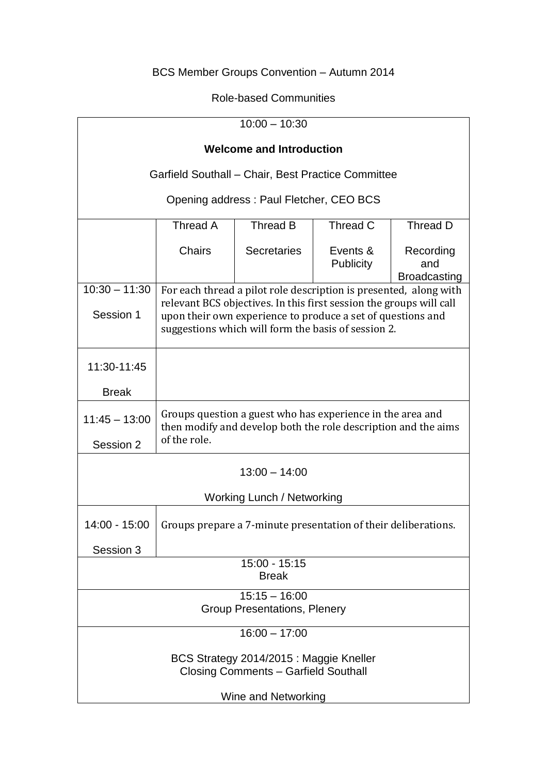# BCS Member Groups Convention – Autumn 2014

## Role-based Communities

| $10:00 - 10:30$                                                                        |                                                                                                                                                                                           |                    |                              |                                         |
|----------------------------------------------------------------------------------------|-------------------------------------------------------------------------------------------------------------------------------------------------------------------------------------------|--------------------|------------------------------|-----------------------------------------|
| <b>Welcome and Introduction</b>                                                        |                                                                                                                                                                                           |                    |                              |                                         |
| Garfield Southall - Chair, Best Practice Committee                                     |                                                                                                                                                                                           |                    |                              |                                         |
| Opening address: Paul Fletcher, CEO BCS                                                |                                                                                                                                                                                           |                    |                              |                                         |
|                                                                                        | Thread A                                                                                                                                                                                  | Thread B           | Thread C                     | Thread D                                |
|                                                                                        | <b>Chairs</b>                                                                                                                                                                             | <b>Secretaries</b> | Events &<br><b>Publicity</b> | Recording<br>and<br><b>Broadcasting</b> |
| $10:30 - 11:30$                                                                        | For each thread a pilot role description is presented, along with                                                                                                                         |                    |                              |                                         |
| Session 1                                                                              | relevant BCS objectives. In this first session the groups will call<br>upon their own experience to produce a set of questions and<br>suggestions which will form the basis of session 2. |                    |                              |                                         |
| 11:30-11:45                                                                            |                                                                                                                                                                                           |                    |                              |                                         |
| <b>Break</b>                                                                           |                                                                                                                                                                                           |                    |                              |                                         |
| $11:45 - 13:00$                                                                        | Groups question a guest who has experience in the area and<br>then modify and develop both the role description and the aims                                                              |                    |                              |                                         |
| Session 2                                                                              | of the role.                                                                                                                                                                              |                    |                              |                                         |
| $13:00 - 14:00$                                                                        |                                                                                                                                                                                           |                    |                              |                                         |
| <b>Working Lunch / Networking</b>                                                      |                                                                                                                                                                                           |                    |                              |                                         |
| 14:00 - 15:00                                                                          | Groups prepare a 7-minute presentation of their deliberations.                                                                                                                            |                    |                              |                                         |
| Session 3                                                                              |                                                                                                                                                                                           |                    |                              |                                         |
| $15:00 - 15:15$<br><b>Break</b>                                                        |                                                                                                                                                                                           |                    |                              |                                         |
| $15:15 - 16:00$                                                                        |                                                                                                                                                                                           |                    |                              |                                         |
| <b>Group Presentations, Plenery</b>                                                    |                                                                                                                                                                                           |                    |                              |                                         |
| $16:00 - 17:00$                                                                        |                                                                                                                                                                                           |                    |                              |                                         |
| BCS Strategy 2014/2015 : Maggie Kneller<br><b>Closing Comments - Garfield Southall</b> |                                                                                                                                                                                           |                    |                              |                                         |
| Wine and Networking                                                                    |                                                                                                                                                                                           |                    |                              |                                         |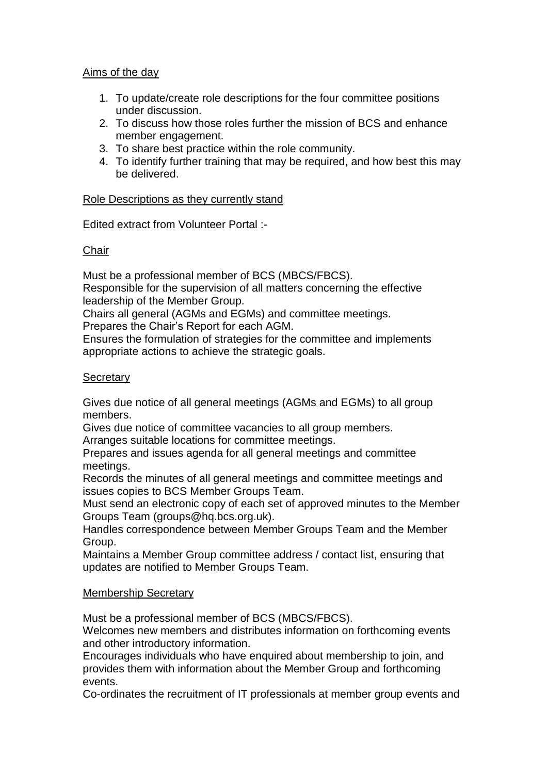## Aims of the day

- 1. To update/create role descriptions for the four committee positions under discussion.
- 2. To discuss how those roles further the mission of BCS and enhance member engagement.
- 3. To share best practice within the role community.
- 4. To identify further training that may be required, and how best this may be delivered.

## Role Descriptions as they currently stand

Edited extract from Volunteer Portal :-

## Chair

Must be a professional member of BCS (MBCS/FBCS).

Responsible for the supervision of all matters concerning the effective leadership of the Member Group.

Chairs all general (AGMs and EGMs) and committee meetings.

Prepares the Chair's Report for each AGM.

Ensures the formulation of strategies for the committee and implements appropriate actions to achieve the strategic goals.

## **Secretary**

Gives due notice of all general meetings (AGMs and EGMs) to all group members.

Gives due notice of committee vacancies to all group members.

Arranges suitable locations for committee meetings.

Prepares and issues agenda for all general meetings and committee meetings.

Records the minutes of all general meetings and committee meetings and issues copies to BCS Member Groups Team.

Must send an electronic copy of each set of approved minutes to the Member Groups Team (groups@hq.bcs.org.uk).

Handles correspondence between Member Groups Team and the Member Group.

Maintains a Member Group committee address / contact list, ensuring that updates are notified to Member Groups Team.

## Membership Secretary

Must be a professional member of BCS (MBCS/FBCS).

Welcomes new members and distributes information on forthcoming events and other introductory information.

Encourages individuals who have enquired about membership to join, and provides them with information about the Member Group and forthcoming events.

Co-ordinates the recruitment of IT professionals at member group events and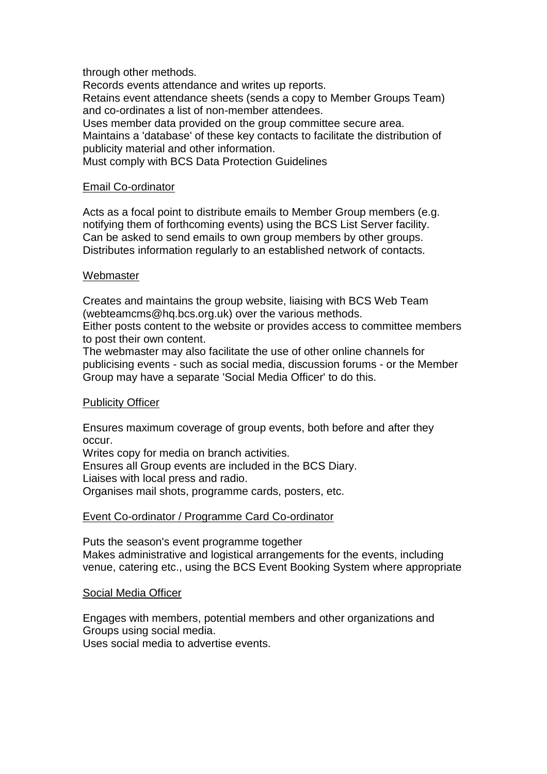through other methods.

Records events attendance and writes up reports.

Retains event attendance sheets (sends a copy to Member Groups Team) and co-ordinates a list of non-member attendees.

Uses member data provided on the group committee secure area.

Maintains a 'database' of these key contacts to facilitate the distribution of publicity material and other information.

Must comply with BCS Data Protection Guidelines

#### Email Co-ordinator

Acts as a focal point to distribute emails to Member Group members (e.g. notifying them of forthcoming events) using the BCS List Server facility. Can be asked to send emails to own group members by other groups. Distributes information regularly to an established network of contacts.

#### Webmaster

Creates and maintains the group website, liaising with BCS Web Team (webteamcms@hq.bcs.org.uk) over the various methods.

Either posts content to the website or provides access to committee members to post their own content.

The webmaster may also facilitate the use of other online channels for publicising events - such as social media, discussion forums - or the Member Group may have a separate 'Social Media Officer' to do this.

#### Publicity Officer

Ensures maximum coverage of group events, both before and after they occur.

Writes copy for media on branch activities.

Ensures all Group events are included in the BCS Diary.

Liaises with local press and radio.

Organises mail shots, programme cards, posters, etc.

#### Event Co-ordinator / Programme Card Co-ordinator

Puts the season's event programme together Makes administrative and logistical arrangements for the events, including venue, catering etc., using the BCS Event Booking System where appropriate

#### Social Media Officer

Engages with members, potential members and other organizations and Groups using social media.

Uses social media to advertise events.